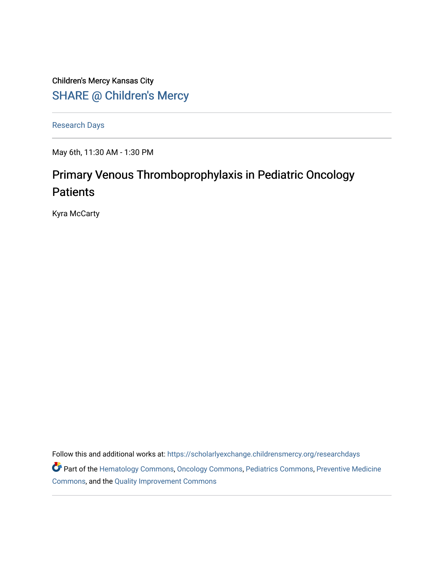Children's Mercy Kansas City SHARE @ Children's Mercy

[Research Days](https://scholarlyexchange.childrensmercy.org/researchdays)

May 6th, 11:30 AM - 1:30 PM

# Primary Venous Thromboprophylaxis in Pediatric Oncology **Patients**

Kyra McCarty

Follow this and additional works at: [https://scholarlyexchange.childrensmercy.org/researchdays](https://scholarlyexchange.childrensmercy.org/researchdays?utm_source=scholarlyexchange.childrensmercy.org%2Fresearchdays%2FGME_Research_Days_2021%2Fresearchday1%2F1&utm_medium=PDF&utm_campaign=PDFCoverPages) 

Part of the [Hematology Commons,](http://network.bepress.com/hgg/discipline/1059?utm_source=scholarlyexchange.childrensmercy.org%2Fresearchdays%2FGME_Research_Days_2021%2Fresearchday1%2F1&utm_medium=PDF&utm_campaign=PDFCoverPages) [Oncology Commons,](http://network.bepress.com/hgg/discipline/694?utm_source=scholarlyexchange.childrensmercy.org%2Fresearchdays%2FGME_Research_Days_2021%2Fresearchday1%2F1&utm_medium=PDF&utm_campaign=PDFCoverPages) [Pediatrics Commons](http://network.bepress.com/hgg/discipline/700?utm_source=scholarlyexchange.childrensmercy.org%2Fresearchdays%2FGME_Research_Days_2021%2Fresearchday1%2F1&utm_medium=PDF&utm_campaign=PDFCoverPages), [Preventive Medicine](http://network.bepress.com/hgg/discipline/703?utm_source=scholarlyexchange.childrensmercy.org%2Fresearchdays%2FGME_Research_Days_2021%2Fresearchday1%2F1&utm_medium=PDF&utm_campaign=PDFCoverPages)  [Commons](http://network.bepress.com/hgg/discipline/703?utm_source=scholarlyexchange.childrensmercy.org%2Fresearchdays%2FGME_Research_Days_2021%2Fresearchday1%2F1&utm_medium=PDF&utm_campaign=PDFCoverPages), and the [Quality Improvement Commons](http://network.bepress.com/hgg/discipline/1430?utm_source=scholarlyexchange.childrensmercy.org%2Fresearchdays%2FGME_Research_Days_2021%2Fresearchday1%2F1&utm_medium=PDF&utm_campaign=PDFCoverPages)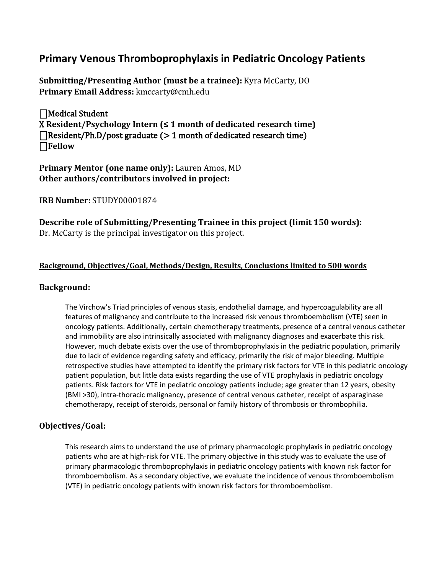# **Primary Venous Thromboprophylaxis in Pediatric Oncology Patients**

**Submitting/Presenting Author (must be a trainee):** Kyra McCarty, DO **Primary Email Address:** kmccarty@cmh.edu

⎕Medical Student X **Resident/Psychology Intern (≤ 1 month of dedicated research time)**   $\Box$ Resident/Ph.D/post graduate ( $> 1$  month of dedicated research time) ⎕**Fellow** 

**Primary Mentor (one name only):** Lauren Amos, MD **Other authors/contributors involved in project:**

**IRB Number:** STUDY00001874

**Describe role of Submitting/Presenting Trainee in this project (limit 150 words):** Dr. McCarty is the principal investigator on this project.

# **Background, Objectives/Goal, Methods/Design, Results, Conclusions limited to 500 words**

# **Background:**

The Virchow's Triad principles of venous stasis, endothelial damage, and hypercoagulability are all features of malignancy and contribute to the increased risk venous thromboembolism (VTE) seen in oncology patients. Additionally, certain chemotherapy treatments, presence of a central venous catheter and immobility are also intrinsically associated with malignancy diagnoses and exacerbate this risk. However, much debate exists over the use of thromboprophylaxis in the pediatric population, primarily due to lack of evidence regarding safety and efficacy, primarily the risk of major bleeding. Multiple retrospective studies have attempted to identify the primary risk factors for VTE in this pediatric oncology patient population, but little data exists regarding the use of VTE prophylaxis in pediatric oncology patients. Risk factors for VTE in pediatric oncology patients include; age greater than 12 years, obesity (BMI >30), intra-thoracic malignancy, presence of central venous catheter, receipt of asparaginase chemotherapy, receipt of steroids, personal or family history of thrombosis or thrombophilia.

# **Objectives/Goal:**

This research aims to understand the use of primary pharmacologic prophylaxis in pediatric oncology patients who are at high-risk for VTE. The primary objective in this study was to evaluate the use of primary pharmacologic thromboprophylaxis in pediatric oncology patients with known risk factor for thromboembolism. As a secondary objective, we evaluate the incidence of venous thromboembolism (VTE) in pediatric oncology patients with known risk factors for thromboembolism.